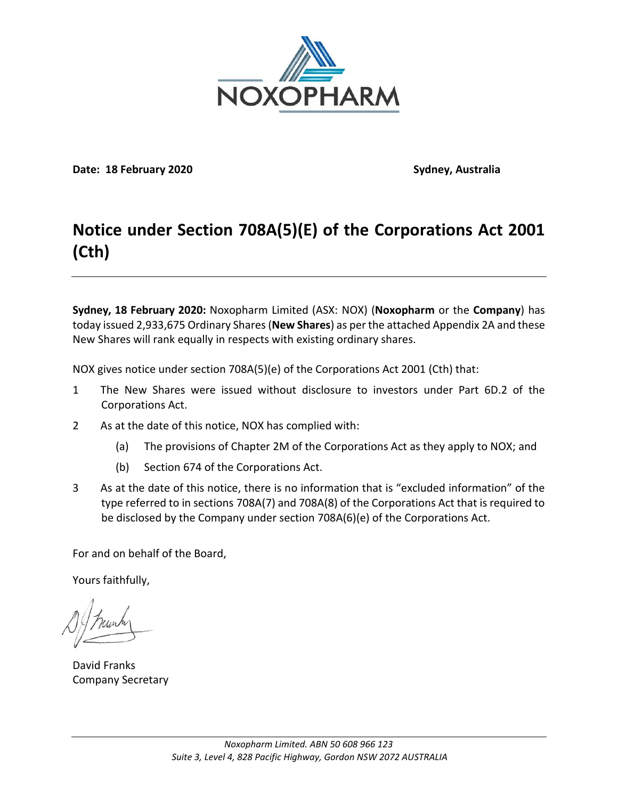

**Date: 18 February 2020 Sydney, Australia**

## **Notice under Section 708A(5)(E) of the Corporations Act 2001 (Cth)**

**Sydney, 18 February 2020:** Noxopharm Limited (ASX: NOX) (**Noxopharm** or the **Company**) has today issued 2,933,675 Ordinary Shares (**New Shares**) as per the attached Appendix 2A and these New Shares will rank equally in respects with existing ordinary shares.

NOX gives notice under section 708A(5)(e) of the Corporations Act 2001 (Cth) that:

- 1 The New Shares were issued without disclosure to investors under Part 6D.2 of the Corporations Act.
- 2 As at the date of this notice, NOX has complied with:
	- (a) The provisions of Chapter 2M of the Corporations Act as they apply to NOX; and
	- (b) Section 674 of the Corporations Act.
- 3 As at the date of this notice, there is no information that is "excluded information" of the type referred to in sections 708A(7) and 708A(8) of the Corporations Act that is required to be disclosed by the Company under section 708A(6)(e) of the Corporations Act.

For and on behalf of the Board,

Yours faithfully,

David Franks Company Secretary